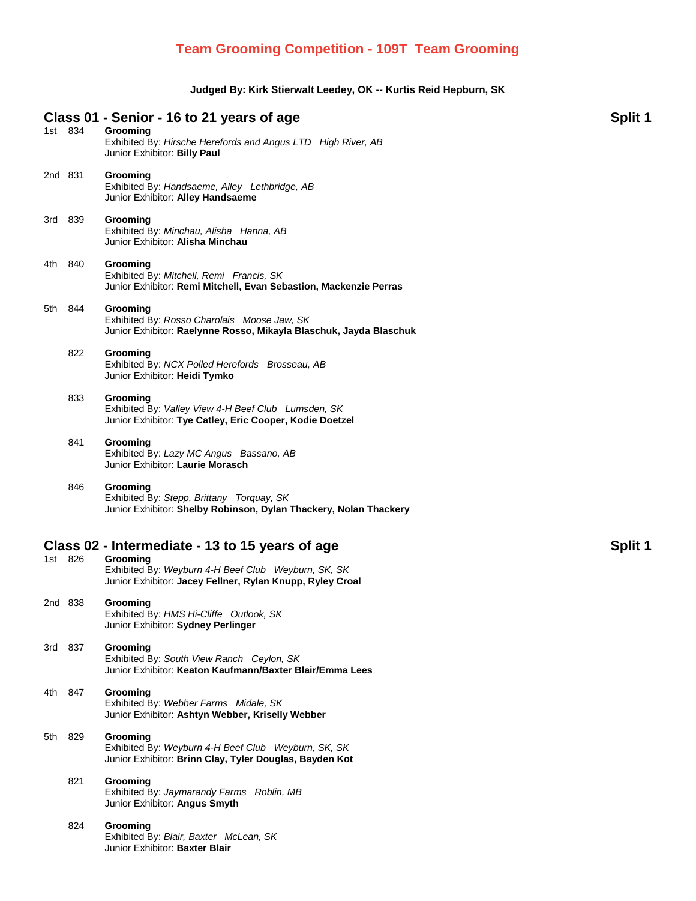## **Team Grooming Competition - 109T Team Grooming**

## **Judged By: Kirk Stierwalt Leedey, OK -- Kurtis Reid Hepburn, SK**

| 1st 834 |         | Class 01 - Senior - 16 to 21 years of age<br>Grooming<br>Exhibited By: Hirsche Herefords and Angus LTD High River, AB<br>Junior Exhibitor: Billy Paul | Split 1 |
|---------|---------|-------------------------------------------------------------------------------------------------------------------------------------------------------|---------|
| 2nd 831 |         | Grooming<br>Exhibited By: Handsaeme, Alley Lethbridge, AB<br>Junior Exhibitor: Alley Handsaeme                                                        |         |
| 3rd 839 |         | Grooming<br>Exhibited By: Minchau, Alisha Hanna, AB<br>Junior Exhibitor: Alisha Minchau                                                               |         |
| 4th 840 |         | Grooming<br>Exhibited By: Mitchell, Remi Francis, SK<br>Junior Exhibitor: Remi Mitchell, Evan Sebastion, Mackenzie Perras                             |         |
|         | 5th 844 | Grooming<br>Exhibited By: Rosso Charolais Moose Jaw, SK<br>Junior Exhibitor: Raelynne Rosso, Mikayla Blaschuk, Jayda Blaschuk                         |         |
|         | 822     | Grooming<br>Exhibited By: NCX Polled Herefords Brosseau, AB<br>Junior Exhibitor: Heidi Tymko                                                          |         |
|         | 833     | Grooming<br>Exhibited By: Valley View 4-H Beef Club Lumsden, SK<br>Junior Exhibitor: Tye Catley, Eric Cooper, Kodie Doetzel                           |         |
|         | 841     | Grooming<br>Exhibited By: Lazy MC Angus Bassano, AB<br>Junior Exhibitor: Laurie Morasch                                                               |         |
|         | 846     | Grooming<br>Exhibited By: Stepp, Brittany Torquay, SK<br>Junior Exhibitor: Shelby Robinson, Dylan Thackery, Nolan Thackery                            |         |
|         |         | Class 02 - Intermediate - 13 to 15 years of age                                                                                                       | Split 1 |
| 1st 826 |         | Grooming<br>Exhibited By: Weyburn 4-H Beef Club Weyburn, SK, SK<br>Junior Exhibitor: Jacey Fellner, Rylan Knupp, Ryley Croal                          |         |
| 2nd 838 |         | Grooming<br>Exhibited By: HMS Hi-Cliffe Outlook, SK<br>Junior Exhibitor: Sydney Perlinger                                                             |         |
| 3rd 837 |         | Grooming<br>Exhibited By: South View Ranch Ceylon, SK<br>Junior Exhibitor: Keaton Kaufmann/Baxter Blair/Emma Lees                                     |         |
| 4th.    | 847     | Grooming<br>Exhibited By: Webber Farms Midale, SK<br>Junior Exhibitor: Ashtyn Webber, Kriselly Webber                                                 |         |
| 5th     | 829     | Grooming<br>Exhibited By: Weyburn 4-H Beef Club Weyburn, SK, SK<br>Junior Exhibitor: Brinn Clay, Tyler Douglas, Bayden Kot                            |         |
|         | 821     | Grooming                                                                                                                                              |         |
|         |         | Exhibited By: Jaymarandy Farms Roblin, MB<br>Junior Exhibitor: Angus Smyth                                                                            |         |